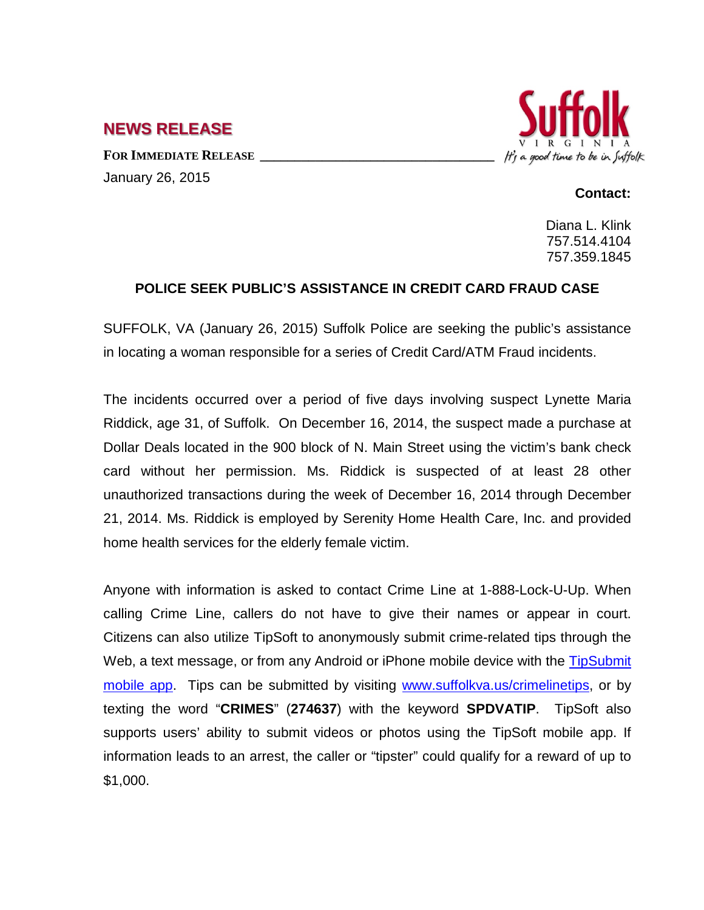**NEWS RELEASE**

FOR **IMMEDIATE RELEASE** January 26, 2015



## **Contact:**

Diana L. Klink 757.514.4104 757.359.1845

## **POLICE SEEK PUBLIC'S ASSISTANCE IN CREDIT CARD FRAUD CASE**

SUFFOLK, VA (January 26, 2015) Suffolk Police are seeking the public's assistance in locating a woman responsible for a series of Credit Card/ATM Fraud incidents.

The incidents occurred over a period of five days involving suspect Lynette Maria Riddick, age 31, of Suffolk. On December 16, 2014, the suspect made a purchase at Dollar Deals located in the 900 block of N. Main Street using the victim's bank check card without her permission. Ms. Riddick is suspected of at least 28 other unauthorized transactions during the week of December 16, 2014 through December 21, 2014. Ms. Riddick is employed by Serenity Home Health Care, Inc. and provided home health services for the elderly female victim.

Anyone with information is asked to contact Crime Line at 1-888-Lock-U-Up. When calling Crime Line, callers do not have to give their names or appear in court. Citizens can also utilize TipSoft to anonymously submit crime-related tips through the Web, a text message, or from any Android or iPhone mobile device with the TipSubmit [mobile app.](http://www.tipsoft.com/index.asp?P=TipSubmitMobile) Tips can be submitted by visiting [www.suffolkva.us/crimelinetips,](http://www.suffolkva.us/crimelinetips) or by texting the word "**CRIMES**" (**274637**) with the keyword **SPDVATIP**. TipSoft also supports users' ability to submit videos or photos using the TipSoft mobile app. If information leads to an arrest, the caller or "tipster" could qualify for a reward of up to \$1,000.